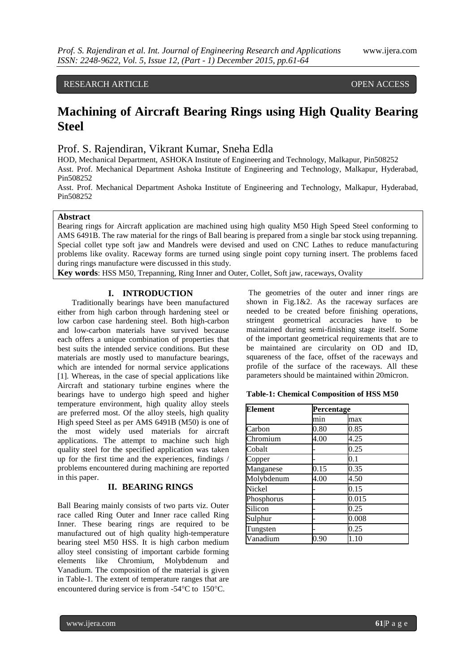# RESEARCH ARTICLE **CONTRACT ARTICLE**

# **Machining of Aircraft Bearing Rings using High Quality Bearing Steel**

# Prof. S. Rajendiran, Vikrant Kumar, Sneha Edla

HOD, Mechanical Department, ASHOKA Institute of Engineering and Technology, Malkapur, Pin508252 Asst. Prof. Mechanical Department Ashoka Institute of Engineering and Technology, Malkapur, Hyderabad, Pin508252

Asst. Prof. Mechanical Department Ashoka Institute of Engineering and Technology, Malkapur, Hyderabad, Pin508252

#### **Abstract**

Bearing rings for Aircraft application are machined using high quality M50 High Speed Steel conforming to AMS 6491B. The raw material for the rings of Ball bearing is prepared from a single bar stock using trepanning. Special collet type soft jaw and Mandrels were devised and used on CNC Lathes to reduce manufacturing problems like ovality. Raceway forms are turned using single point copy turning insert. The problems faced during rings manufacture were discussed in this study.

**Key words**: HSS M50, Trepanning, Ring Inner and Outer, Collet, Soft jaw, raceways, Ovality

### **I. INTRODUCTION**

Traditionally bearings have been manufactured either from high carbon through hardening steel or low carbon case hardening steel. Both high-carbon and low-carbon materials have survived because each offers a unique combination of properties that best suits the intended service conditions. But these materials are mostly used to manufacture bearings, which are intended for normal service applications [1]. Whereas, in the case of special applications like Aircraft and stationary turbine engines where the bearings have to undergo high speed and higher temperature environment, high quality alloy steels are preferred most. Of the alloy steels, high quality High speed Steel as per AMS 6491B (M50) is one of the most widely used materials for aircraft applications. The attempt to machine such high quality steel for the specified application was taken up for the first time and the experiences, findings / problems encountered during machining are reported in this paper.

#### **II. BEARING RINGS**

Ball Bearing mainly consists of two parts viz. Outer race called Ring Outer and Inner race called Ring Inner. These bearing rings are required to be manufactured out of high quality high-temperature bearing steel M50 HSS. It is high carbon medium alloy steel consisting of important carbide forming elements like Chromium, Molybdenum and Vanadium. The composition of the material is given in Table-1. The extent of temperature ranges that are encountered during service is from  $-54^{\circ}$ C to 150 $^{\circ}$ C.

The geometries of the outer and inner rings are shown in Fig.1&2. As the raceway surfaces are needed to be created before finishing operations, stringent geometrical accuracies have to be maintained during semi-finishing stage itself. Some of the important geometrical requirements that are to be maintained are circularity on OD and ID, squareness of the face, offset of the raceways and profile of the surface of the raceways. All these parameters should be maintained within 20micron.

|  |  | <b>Table-1: Chemical Composition of HSS M50</b> |  |  |
|--|--|-------------------------------------------------|--|--|
|--|--|-------------------------------------------------|--|--|

| <b>Element</b> |      | Percentage |  |
|----------------|------|------------|--|
|                | min  | max        |  |
| Carbon         | 0.80 | 0.85       |  |
| Chromium       | 4.00 | 4.25       |  |
| Cobalt         |      | 0.25       |  |
| Copper         |      | 0.1        |  |
| Manganese      | 0.15 | 0.35       |  |
| Molybdenum     | 4.00 | 4.50       |  |
| Nickel         |      | 0.15       |  |
| Phosphorus     |      | 0.015      |  |
| Silicon        |      | 0.25       |  |
| Sulphur        |      | 0.008      |  |
| Tungsten       |      | 0.25       |  |
| Vanadium       | 0.90 | 1.10       |  |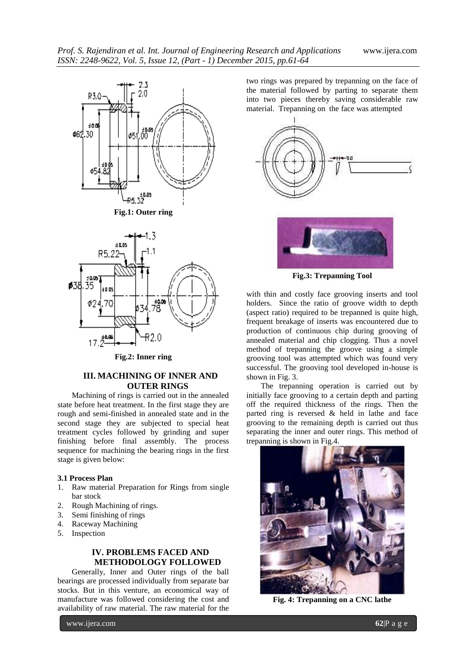





**Fig.2: Inner ring**

## **III. MACHINING OF INNER AND OUTER RINGS**

Machining of rings is carried out in the annealed state before heat treatment. In the first stage they are rough and semi-finished in annealed state and in the second stage they are subjected to special heat treatment cycles followed by grinding and super finishing before final assembly. The process sequence for machining the bearing rings in the first stage is given below:

#### **3.1 Process Plan**

- 1. Raw material Preparation for Rings from single bar stock
- 2. Rough Machining of rings.
- 3. Semi finishing of rings
- Raceway Machining
- 5. Inspection

# **IV. PROBLEMS FACED AND METHODOLOGY FOLLOWED**

Generally, Inner and Outer rings of the ball bearings are processed individually from separate bar stocks. But in this venture, an economical way of manufacture was followed considering the cost and availability of raw material. The raw material for the two rings was prepared by trepanning on the face of the material followed by parting to separate them into two pieces thereby saving considerable raw material. Trepanning on the face was attempted





**Fig.3: Trepanning Tool**

with thin and costly face grooving inserts and tool holders. Since the ratio of groove width to depth (aspect ratio) required to be trepanned is quite high, frequent breakage of inserts was encountered due to production of continuous chip during grooving of annealed material and chip clogging. Thus a novel method of trepanning the groove using a simple grooving tool was attempted which was found very successful. The grooving tool developed in-house is shown in Fig. 3.

The trepanning operation is carried out by initially face grooving to a certain depth and parting off the required thickness of the rings. Then the parted ring is reversed  $\&$  held in lathe and face grooving to the remaining depth is carried out thus separating the inner and outer rings. This method of trepanning is shown in Fig.4.



**Fig. 4: Trepanning on a CNC lathe**

www.ijera.com **62**|P a g e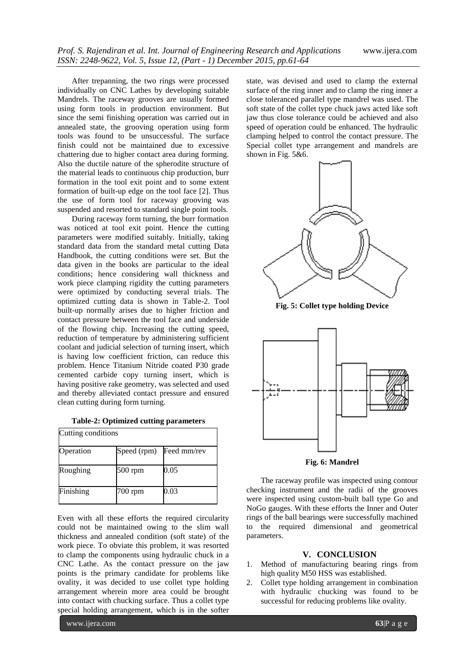After trepanning, the two rings were processed individually on CNC Lathes by developing suitable Mandrels. The raceway grooves are usually formed using form tools in production environment. But since the semi finishing operation was carried out in annealed state, the grooving operation using form tools was found to be unsuccessful. The surface finish could not be maintained due to excessive chattering due to higher contact area during forming. Also the ductile nature of the spherodite structure of the material leads to continuous chip production, burr formation in the tool exit point and to some extent formation of built-up edge on the tool face [2]. Thus the use of form tool for raceway grooving was suspended and resorted to standard single point tools.

During raceway form turning, the burr formation was noticed at tool exit point. Hence the cutting parameters were modified suitably. Initially, taking standard data from the standard metal cutting Data Handbook, the cutting conditions were set. But the data given in the books are particular to the ideal conditions; hence considering wall thickness and work piece clamping rigidity the cutting parameters were optimized by conducting several trials. The optimized cutting data is shown in Table-2. Tool built-up normally arises due to higher friction and contact pressure between the tool face and underside of the flowing chip. Increasing the cutting speed, reduction of temperature by administering sufficient coolant and judicial selection of turning insert, which is having low coefficient friction, can reduce this problem. Hence Titanium Nitride coated P30 grade cemented carbide copy turning insert, which is having positive rake geometry, was selected and used and thereby alleviated contact pressure and ensured clean cutting during form turning.

|  | <b>Table-2: Optimized cutting parameters</b> |
|--|----------------------------------------------|
|--|----------------------------------------------|

| Cutting conditions |             |             |  |  |
|--------------------|-------------|-------------|--|--|
| Operation          | Speed (rpm) | Feed mm/rev |  |  |
| Roughing           | 500 rpm     | 0.05        |  |  |
| Finishing          | 700 rpm     | 0.03        |  |  |

Even with all these efforts the required circularity could not be maintained owing to the slim wall thickness and annealed condition (soft state) of the work piece. To obviate this problem, it was resorted to clamp the components using hydraulic chuck in a CNC Lathe. As the contact pressure on the jaw points is the primary candidate for problems like ovality, it was decided to use collet type holding arrangement wherein more area could be brought into contact with chucking surface. Thus a collet type special holding arrangement, which is in the softer

www.ijera.com **63**|P a g e

state, was devised and used to clamp the external surface of the ring inner and to clamp the ring inner a close toleranced parallel type mandrel was used. The soft state of the collet type chuck jaws acted like soft jaw thus close tolerance could be achieved and also speed of operation could be enhanced. The hydraulic clamping helped to control the contact pressure. The Special collet type arrangement and mandrels are shown in Fig. 5&6.



**Fig. 5: Collet type holding Device**



**Fig. 6: Mandrel**

The raceway profile was inspected using contour checking instrument and the radii of the grooves were inspected using custom-built ball type Go and NoGo gauges. With these efforts the Inner and Outer rings of the ball bearings were successfully machined to the required dimensional and geometrical parameters.

#### **V. CONCLUSION**

- 1. Method of manufacturing bearing rings from high quality M50 HSS was established.
- 2. Collet type holding arrangement in combination with hydraulic chucking was found to be successful for reducing problems like ovality.